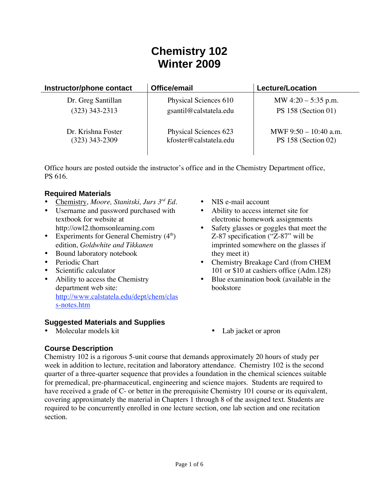# **Chemistry 102 Winter 2009**

| Instructor/phone contact | Office/email           | <b>Lecture/Location</b> |
|--------------------------|------------------------|-------------------------|
| Dr. Greg Santillan       | Physical Sciences 610  | MW $4:20 - 5:35$ p.m.   |
| $(323)$ 343-2313         | gsantil@calstatela.edu | PS $158$ (Section 01)   |
| Dr. Krishna Foster       | Physical Sciences 623  | MWF 9:50 - 10:40 a.m.   |
| $(323)$ 343-2309         | kfoster@calstatela.edu | PS $158$ (Section 02)   |

Office hours are posted outside the instructor's office and in the Chemistry Department office, PS 616.

## **Required Materials**

- Chemistry, *Moore, Stanitski, Jurs 3rd Ed.*
- Username and password purchased with textbook for website at http://owl2.thomsonlearning.com
- Experiments for General Chemistry  $(4<sup>th</sup>)$ edition, *Goldwhite and Tikkanen*
- Bound laboratory notebook
- Periodic Chart
- Scientific calculator
- Ability to access the Chemistry department web site: http://www.calstatela.edu/dept/chem/clas s-notes.htm

## **Suggested Materials and Supplies**

• Molecular models kit • Lab jacket or apron

- NIS e-mail account
- Ability to access internet site for electronic homework assignments
- Safety glasses or goggles that meet the Z-87 specification ("Z-87" will be imprinted somewhere on the glasses if they meet it)
- Chemistry Breakage Card (from CHEM 101 or \$10 at cashiers office (Adm.128)
- Blue examination book (available in the bookstore
	-

# **Course Description**

Chemistry 102 is a rigorous 5-unit course that demands approximately 20 hours of study per week in addition to lecture, recitation and laboratory attendance. Chemistry 102 is the second quarter of a three-quarter sequence that provides a foundation in the chemical sciences suitable for premedical, pre-pharmaceutical, engineering and science majors. Students are required to have received a grade of C- or better in the prerequisite Chemistry 101 course or its equivalent, covering approximately the material in Chapters 1 through 8 of the assigned text. Students are required to be concurrently enrolled in one lecture section, one lab section and one recitation section.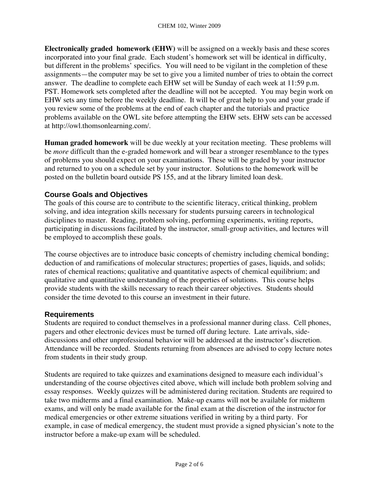**Electronically graded homework (EHW)** will be assigned on a weekly basis and these scores incorporated into your final grade. Each student's homework set will be identical in difficulty, but different in the problems' specifics. You will need to be vigilant in the completion of these assignments—the computer may be set to give you a limited number of tries to obtain the correct answer. The deadline to complete each EHW set will be Sunday of each week at 11:59 p.m. PST. Homework sets completed after the deadline will not be accepted. You may begin work on EHW sets any time before the weekly deadline. It will be of great help to you and your grade if you review some of the problems at the end of each chapter and the tutorials and practice problems available on the OWL site before attempting the EHW sets. EHW sets can be accessed at http://owl.thomsonlearning.com/.

**Human graded homework** will be due weekly at your recitation meeting. These problems will be *more* difficult than the e-graded homework and will bear a stronger resemblance to the types of problems you should expect on your examinations. These will be graded by your instructor and returned to you on a schedule set by your instructor. Solutions to the homework will be posted on the bulletin board outside PS 155, and at the library limited loan desk.

# **Course Goals and Objectives**

The goals of this course are to contribute to the scientific literacy, critical thinking, problem solving, and idea integration skills necessary for students pursuing careers in technological disciplines to master. Reading, problem solving, performing experiments, writing reports, participating in discussions facilitated by the instructor, small-group activities, and lectures will be employed to accomplish these goals.

The course objectives are to introduce basic concepts of chemistry including chemical bonding; deduction of and ramifications of molecular structures; properties of gases, liquids, and solids; rates of chemical reactions; qualitative and quantitative aspects of chemical equilibrium; and qualitative and quantitative understanding of the properties of solutions. This course helps provide students with the skills necessary to reach their career objectives. Students should consider the time devoted to this course an investment in their future.

## **Requirements**

Students are required to conduct themselves in a professional manner during class. Cell phones, pagers and other electronic devices must be turned off during lecture. Late arrivals, sidediscussions and other unprofessional behavior will be addressed at the instructor's discretion. Attendance will be recorded. Students returning from absences are advised to copy lecture notes from students in their study group.

Students are required to take quizzes and examinations designed to measure each individual's understanding of the course objectives cited above, which will include both problem solving and essay responses. Weekly quizzes will be administered during recitation. Students are required to take two midterms and a final examination. Make-up exams will not be available for midterm exams, and will only be made available for the final exam at the discretion of the instructor for medical emergencies or other extreme situations verified in writing by a third party. For example, in case of medical emergency, the student must provide a signed physician's note to the instructor before a make-up exam will be scheduled.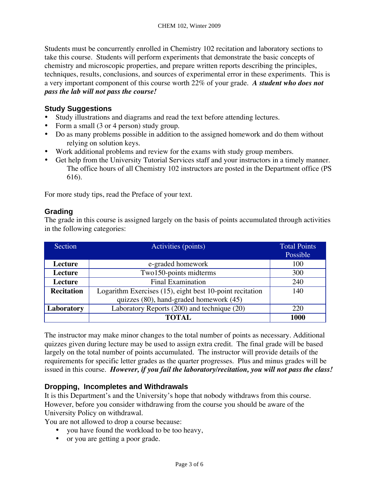Students must be concurrently enrolled in Chemistry 102 recitation and laboratory sections to take this course. Students will perform experiments that demonstrate the basic concepts of chemistry and microscopic properties, and prepare written reports describing the principles, techniques, results, conclusions, and sources of experimental error in these experiments. This is a very important component of this course worth 22% of your grade. *A student who does not pass the lab will not pass the course!* 

## **Study Suggestions**

- Study illustrations and diagrams and read the text before attending lectures.
- Form a small (3 or 4 person) study group.
- Do as many problems possible in addition to the assigned homework and do them without relying on solution keys.
- Work additional problems and review for the exams with study group members.
- Get help from the University Tutorial Services staff and your instructors in a timely manner. The office hours of all Chemistry 102 instructors are posted in the Department office (PS 616).

For more study tips, read the Preface of your text.

#### **Grading**

The grade in this course is assigned largely on the basis of points accumulated through activities in the following categories:

| Section           | Activities (points)                                      | <b>Total Points</b> |
|-------------------|----------------------------------------------------------|---------------------|
|                   |                                                          | Possible            |
| Lecture           | e-graded homework                                        | 100                 |
| Lecture           | Two150-points midterms                                   | 300                 |
| Lecture           | <b>Final Examination</b>                                 | 240                 |
| <b>Recitation</b> | Logarithm Exercises (15), eight best 10-point recitation | 140                 |
|                   | quizzes (80), hand-graded homework (45)                  |                     |
| Laboratory        | Laboratory Reports (200) and technique (20)              | 220                 |
|                   | <b>TOTAL</b>                                             | 1000                |

The instructor may make minor changes to the total number of points as necessary. Additional quizzes given during lecture may be used to assign extra credit. The final grade will be based largely on the total number of points accumulated. The instructor will provide details of the requirements for specific letter grades as the quarter progresses. Plus and minus grades will be issued in this course. *However, if you fail the laboratory/recitation, you will not pass the class!* 

## **Dropping, Incompletes and Withdrawals**

It is this Department's and the University's hope that nobody withdraws from this course. However, before you consider withdrawing from the course you should be aware of the University Policy on withdrawal.

You are not allowed to drop a course because:

- you have found the workload to be too heavy,
- or you are getting a poor grade.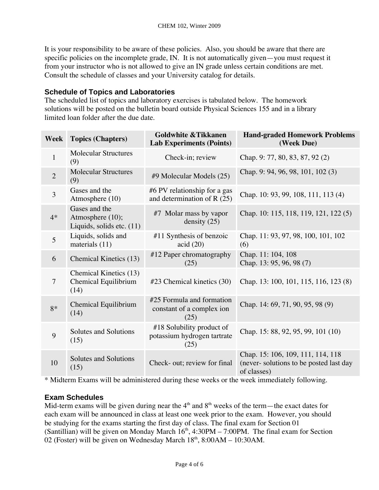It is your responsibility to be aware of these policies. Also, you should be aware that there are specific policies on the incomplete grade, IN. It is not automatically given—you must request it from your instructor who is not allowed to give an IN grade unless certain conditions are met. Consult the schedule of classes and your University catalog for details.

# **Schedule of Topics and Laboratories**

The scheduled list of topics and laboratory exercises is tabulated below. The homework solutions will be posted on the bulletin board outside Physical Sciences 155 and in a library limited loan folder after the due date.

| Week           | <b>Topics (Chapters)</b>                                       | <b>Goldwhite &amp; Tikkanen</b><br><b>Lab Experiments (Points)</b> | <b>Hand-graded Homework Problems</b><br>(Week Due)                                         |
|----------------|----------------------------------------------------------------|--------------------------------------------------------------------|--------------------------------------------------------------------------------------------|
| $\mathbf{1}$   | <b>Molecular Structures</b><br>(9)                             | Check-in; review                                                   | Chap. 9: 77, 80, 83, 87, 92(2)                                                             |
| $\overline{2}$ | <b>Molecular Structures</b><br>(9)                             | #9 Molecular Models (25)                                           | Chap. 9: 94, 96, 98, 101, 102(3)                                                           |
| $\overline{3}$ | Gases and the<br>Atmosphere (10)                               | #6 PV relationship for a gas<br>and determination of R $(25)$      | Chap. 10: 93, 99, 108, 111, 113(4)                                                         |
| $4*$           | Gases and the<br>Atmosphere (10);<br>Liquids, solids etc. (11) | #7 Molar mass by vapor<br>density $(25)$                           | Chap. 10: 115, 118, 119, 121, 122(5)                                                       |
| $\overline{5}$ | Liquids, solids and<br>materials (11)                          | #11 Synthesis of benzoic<br>acid (20)                              | Chap. 11: 93, 97, 98, 100, 101, 102<br>(6)                                                 |
| 6              | Chemical Kinetics (13)                                         | #12 Paper chromatography<br>(25)                                   | Chap. 11: 104, 108<br>Chap. 13: 95, 96, 98 (7)                                             |
| $\overline{7}$ | Chemical Kinetics (13)<br>Chemical Equilibrium<br>(14)         | #23 Chemical kinetics (30)                                         | Chap. 13: 100, 101, 115, 116, 123(8)                                                       |
| $8*$           | Chemical Equilibrium<br>(14)                                   | #25 Formula and formation<br>constant of a complex ion<br>(25)     | Chap. 14: 69, 71, 90, 95, 98 (9)                                                           |
| 9              | Solutes and Solutions<br>(15)                                  | #18 Solubility product of<br>potassium hydrogen tartrate<br>(25)   | Chap. 15: 88, 92, 95, 99, 101 (10)                                                         |
| 10             | Solutes and Solutions<br>(15)                                  | Check- out; review for final                                       | Chap. 15: 106, 109, 111, 114, 118<br>(never-solutions to be posted last day<br>of classes) |

\* Midterm Exams will be administered during these weeks or the week immediately following.

# **Exam Schedules**

Mid-term exams will be given during near the  $4<sup>th</sup>$  and  $8<sup>th</sup>$  weeks of the term—the exact dates for each exam will be announced in class at least one week prior to the exam. However, you should be studying for the exams starting the first day of class. The final exam for Section 01 (Santillian) will be given on Monday March  $16<sup>th</sup>$ , 4:30PM – 7:00PM. The final exam for Section 02 (Foster) will be given on Wednesday March  $18<sup>th</sup>$ ,  $8:00AM - 10:30AM$ .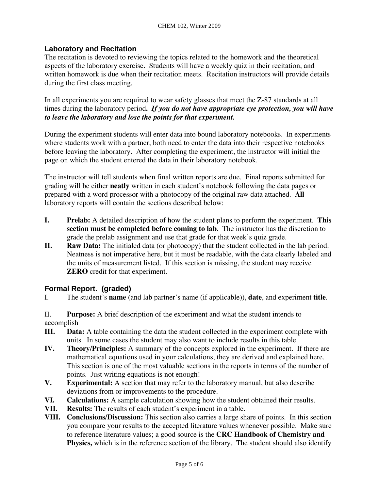## **Laboratory and Recitation**

The recitation is devoted to reviewing the topics related to the homework and the theoretical aspects of the laboratory exercise. Students will have a weekly quiz in their recitation, and written homework is due when their recitation meets. Recitation instructors will provide details during the first class meeting.

In all experiments you are required to wear safety glasses that meet the Z-87 standards at all times during the laboratory period**.** *If you do not have appropriate eye protection, you will have to leave the laboratory and lose the points for that experiment.* 

During the experiment students will enter data into bound laboratory notebooks. In experiments where students work with a partner, both need to enter the data into their respective notebooks before leaving the laboratory. After completing the experiment, the instructor will initial the page on which the student entered the data in their laboratory notebook.

The instructor will tell students when final written reports are due. Final reports submitted for grading will be either **neatly** written in each student's notebook following the data pages or prepared with a word processor with a photocopy of the original raw data attached. **All** laboratory reports will contain the sections described below:

- **I. Prelab:** A detailed description of how the student plans to perform the experiment. **This section must be completed before coming to lab**. The instructor has the discretion to grade the prelab assignment and use that grade for that week's quiz grade.
- **II. Raw Data:** The initialed data (or photocopy) that the student collected in the lab period. Neatness is not imperative here, but it must be readable, with the data clearly labeled and the units of measurement listed. If this section is missing, the student may receive **ZERO** credit for that experiment.

## **Formal Report. (graded)**

I. The student's **name** (and lab partner's name (if applicable)), **date**, and experiment **title**.

II. **Purpose:** A brief description of the experiment and what the student intends to accomplish

- **III. Data:** A table containing the data the student collected in the experiment complete with units. In some cases the student may also want to include results in this table.
- **IV. Theory/Principles:** A summary of the concepts explored in the experiment. If there are mathematical equations used in your calculations, they are derived and explained here. This section is one of the most valuable sections in the reports in terms of the number of points. Just writing equations is not enough!
- **V. Experimental:** A section that may refer to the laboratory manual, but also describe deviations from or improvements to the procedure.
- **VI. Calculations:** A sample calculation showing how the student obtained their results.
- **VII. Results:** The results of each student's experiment in a table.
- **VIII. Conclusions/Discussion:** This section also carries a large share of points. In this section you compare your results to the accepted literature values whenever possible. Make sure to reference literature values; a good source is the **CRC Handbook of Chemistry and Physics,** which is in the reference section of the library. The student should also identify